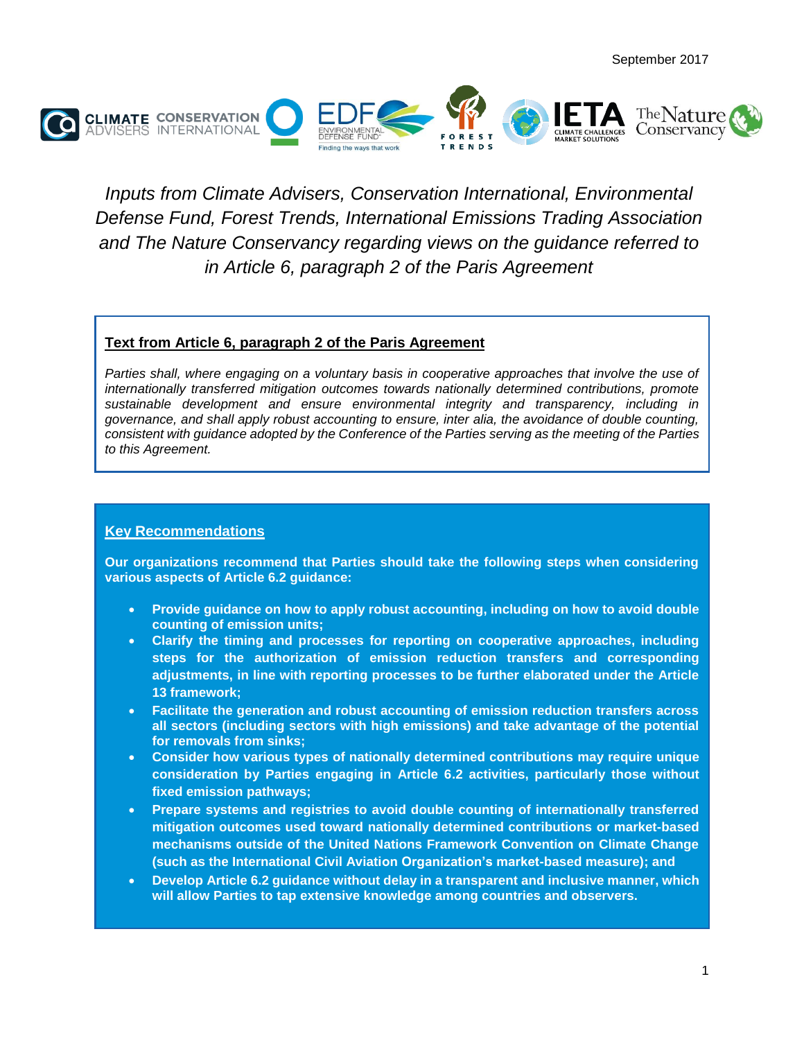

*Inputs from Climate Advisers, Conservation International, Environmental Defense Fund, Forest Trends, International Emissions Trading Association and The Nature Conservancy regarding views on the guidance referred to in Article 6, paragraph 2 of the Paris Agreement*

## **Text from Article 6, paragraph 2 of the Paris Agreement**

Parties shall, where engaging on a voluntary basis in cooperative approaches that involve the use of *internationally transferred mitigation outcomes towards nationally determined contributions, promote sustainable development and ensure environmental integrity and transparency, including in governance, and shall apply robust accounting to ensure, inter alia, the avoidance of double counting, consistent with guidance adopted by the Conference of the Parties serving as the meeting of the Parties to this Agreement.*

### **Key Recommendations**

**Our organizations recommend that Parties should take the following steps when considering various aspects of Article 6.2 guidance:**

- **Provide guidance on how to apply robust accounting, including on how to avoid double counting of emission units;**
- **Clarify the timing and processes for reporting on cooperative approaches, including steps for the authorization of emission reduction transfers and corresponding adjustments, in line with reporting processes to be further elaborated under the Article 13 framework;**
- **Facilitate the generation and robust accounting of emission reduction transfers across all sectors (including sectors with high emissions) and take advantage of the potential for removals from sinks;**
- **Consider how various types of nationally determined contributions may require unique consideration by Parties engaging in Article 6.2 activities, particularly those without fixed emission pathways;**
- **Prepare systems and registries to avoid double counting of internationally transferred mitigation outcomes used toward nationally determined contributions or market-based mechanisms outside of the United Nations Framework Convention on Climate Change (such as the International Civil Aviation Organization's market-based measure); and**
- **Develop Article 6.2 guidance without delay in a transparent and inclusive manner, which will allow Parties to tap extensive knowledge among countries and observers.**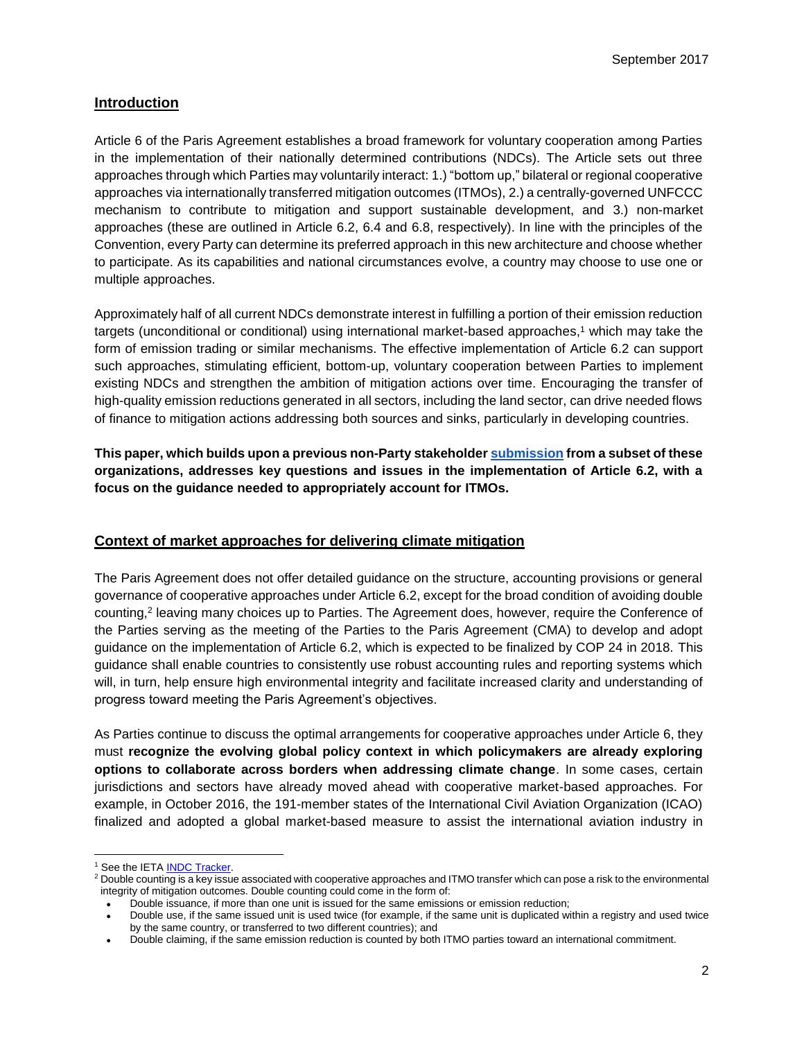### **Introduction**

Article 6 of the Paris Agreement establishes a broad framework for voluntary cooperation among Parties in the implementation of their nationally determined contributions (NDCs). The Article sets out three approaches through which Parties may voluntarily interact: 1.) "bottom up," bilateral or regional cooperative approaches via internationally transferred mitigation outcomes (ITMOs), 2.) a centrally-governed UNFCCC mechanism to contribute to mitigation and support sustainable development, and 3.) non-market approaches (these are outlined in Article 6.2, 6.4 and 6.8, respectively). In line with the principles of the Convention, every Party can determine its preferred approach in this new architecture and choose whether to participate. As its capabilities and national circumstances evolve, a country may choose to use one or multiple approaches.

Approximately half of all current NDCs demonstrate interest in fulfilling a portion of their emission reduction targets (unconditional or conditional) using international market-based approaches,<sup>1</sup> which may take the form of emission trading or similar mechanisms. The effective implementation of Article 6.2 can support such approaches, stimulating efficient, bottom-up, voluntary cooperation between Parties to implement existing NDCs and strengthen the ambition of mitigation actions over time. Encouraging the transfer of high-quality emission reductions generated in all sectors, including the land sector, can drive needed flows of finance to mitigation actions addressing both sources and sinks, particularly in developing countries.

**This paper, which builds upon a previous non-Party stakeholde[r](http://unfccc.int/files/parties_observers/submissions_from_observers/application/pdf/687.pdf) [submission](http://unfccc.int/files/parties_observers/submissions_from_observers/application/pdf/687.pdf) from a subset of these organizations, addresses key questions and issues in the implementation of Article 6.2, with a focus on the guidance needed to appropriately account for ITMOs.**

### **Context of market approaches for delivering climate mitigation**

The Paris Agreement does not offer detailed guidance on the structure, accounting provisions or general governance of cooperative approaches under Article 6.2, except for the broad condition of avoiding double counting,<sup>2</sup> leaving many choices up to Parties. The Agreement does, however, require the Conference of the Parties serving as the meeting of the Parties to the Paris Agreement (CMA) to develop and adopt guidance on the implementation of Article 6.2, which is expected to be finalized by COP 24 in 2018. This guidance shall enable countries to consistently use robust accounting rules and reporting systems which will, in turn, help ensure high environmental integrity and facilitate increased clarity and understanding of progress toward meeting the Paris Agreement's objectives.

As Parties continue to discuss the optimal arrangements for cooperative approaches under Article 6, they must **recognize the evolving global policy context in which policymakers are already exploring options to collaborate across borders when addressing climate change**. In some cases, certain jurisdictions and sectors have already moved ahead with cooperative market-based approaches. For example, in October 2016, the 191-member states of the International Civil Aviation Organization (ICAO) finalized and adopted a global market-based measure to assist the international aviation industry in

<sup>&</sup>lt;sup>1</sup> S[e](https://docs.google.com/spreadsheets/d/1YgIQiiucWW9vuDUAMeRstzzLxTXi6zFWtFVClqtRTe4/edit#gid=0)e the IETA [INDC Tracker.](https://docs.google.com/spreadsheets/d/1YgIQiiucWW9vuDUAMeRstzzLxTXi6zFWtF%20VClqtRTe4/edit#gid=0)

<sup>&</sup>lt;sup>2</sup> Double counting is a key issue associated with cooperative approaches and ITMO transfer which can pose a risk to the environmental integrity of mitigation outcomes. Double counting could come in the form of:

Double issuance, if more than one unit is issued for the same emissions or emission reduction;

Double use, if the same issued unit is used twice (for example, if the same unit is duplicated within a registry and used twice by the same country, or transferred to two different countries); and

Double claiming, if the same emission reduction is counted by both ITMO parties toward an international commitment.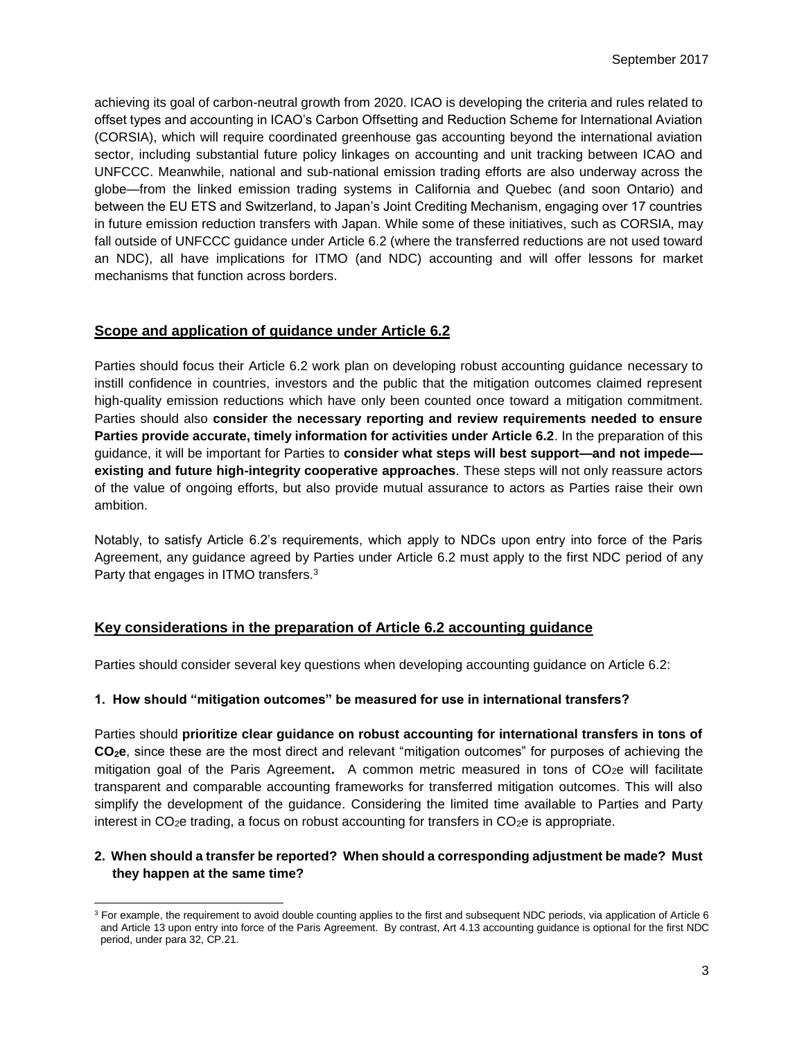achieving its goal of carbon-neutral growth from 2020. ICAO is developing the criteria and rules related to offset types and accounting in ICAO's Carbon Offsetting and Reduction Scheme for International Aviation (CORSIA), which will require coordinated greenhouse gas accounting beyond the international aviation sector, including substantial future policy linkages on accounting and unit tracking between ICAO and UNFCCC. Meanwhile, national and sub-national emission trading efforts are also underway across the globe—from the linked emission trading systems in California and Quebec (and soon Ontario) and between the EU ETS and Switzerland, to Japan's Joint Crediting Mechanism, engaging over 17 countries in future emission reduction transfers with Japan. While some of these initiatives, such as CORSIA, may fall outside of UNFCCC guidance under Article 6.2 (where the transferred reductions are not used toward an NDC), all have implications for ITMO (and NDC) accounting and will offer lessons for market mechanisms that function across borders.

### **Scope and application of guidance under Article 6.2**

Parties should focus their Article 6.2 work plan on developing robust accounting guidance necessary to instill confidence in countries, investors and the public that the mitigation outcomes claimed represent high-quality emission reductions which have only been counted once toward a mitigation commitment. Parties should also **consider the necessary reporting and review requirements needed to ensure Parties provide accurate, timely information for activities under Article 6.2.** In the preparation of this guidance, it will be important for Parties to **consider what steps will best support—and not impede existing and future high-integrity cooperative approaches**. These steps will not only reassure actors of the value of ongoing efforts, but also provide mutual assurance to actors as Parties raise their own ambition.

Notably, to satisfy Article 6.2's requirements, which apply to NDCs upon entry into force of the Paris Agreement, any guidance agreed by Parties under Article 6.2 must apply to the first NDC period of any Party that engages in ITMO transfers.<sup>3</sup>

# **Key considerations in the preparation of Article 6.2 accounting guidance**

Parties should consider several key questions when developing accounting guidance on Article 6.2:

### **1. How should "mitigation outcomes" be measured for use in international transfers?**

Parties should **prioritize clear guidance on robust accounting for international transfers in tons of CO2e**, since these are the most direct and relevant "mitigation outcomes" for purposes of achieving the mitigation goal of the Paris Agreement. A common metric measured in tons of CO<sub>2</sub>e will facilitate transparent and comparable accounting frameworks for transferred mitigation outcomes. This will also simplify the development of the guidance. Considering the limited time available to Parties and Party interest in  $CO<sub>2</sub>e$  trading, a focus on robust accounting for transfers in  $CO<sub>2</sub>e$  is appropriate.

### **2. When should a transfer be reported? When should a corresponding adjustment be made? Must they happen at the same time?**

 $\overline{a}$ <sup>3</sup> For example, the requirement to avoid double counting applies to the first and subsequent NDC periods, via application of Article 6 and Article 13 upon entry into force of the Paris Agreement. By contrast, Art 4.13 accounting guidance is optional for the first NDC period, under para 32, CP.21.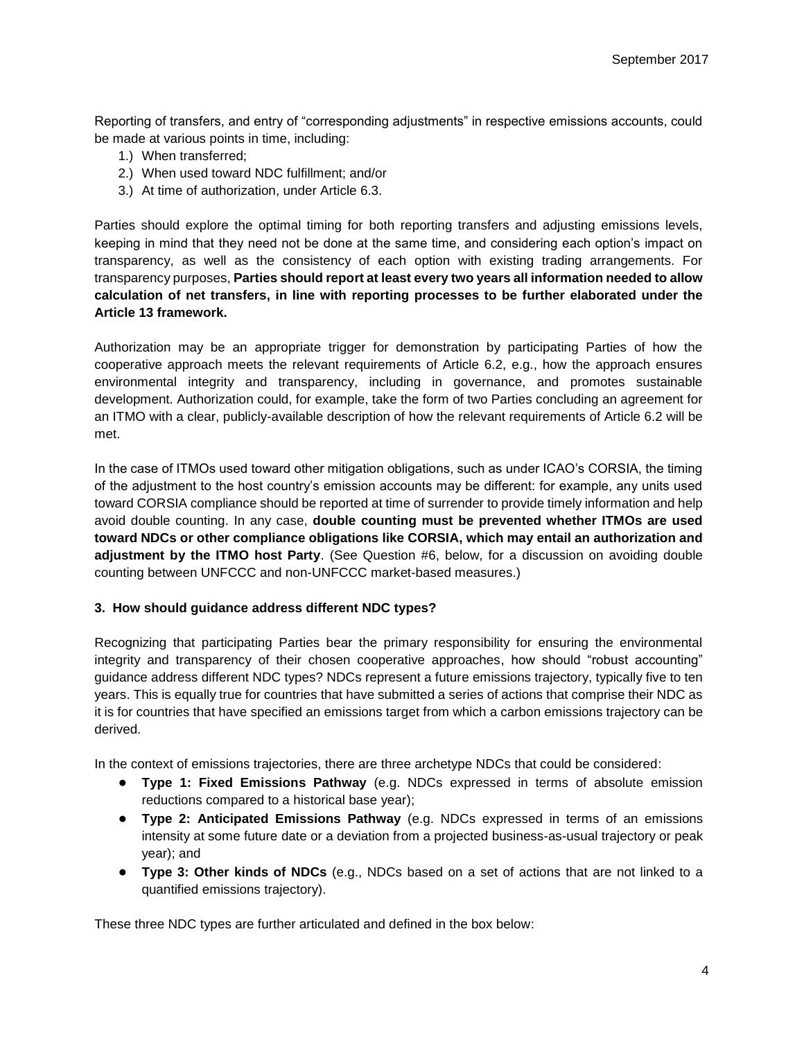Reporting of transfers, and entry of "corresponding adjustments" in respective emissions accounts, could be made at various points in time, including:

- 1.) When transferred;
- 2.) When used toward NDC fulfillment; and/or
- 3.) At time of authorization, under Article 6.3.

Parties should explore the optimal timing for both reporting transfers and adjusting emissions levels, keeping in mind that they need not be done at the same time, and considering each option's impact on transparency, as well as the consistency of each option with existing trading arrangements. For transparency purposes, **Parties should report at least every two years all information needed to allow calculation of net transfers, in line with reporting processes to be further elaborated under the Article 13 framework.**

Authorization may be an appropriate trigger for demonstration by participating Parties of how the cooperative approach meets the relevant requirements of Article 6.2, e.g., how the approach ensures environmental integrity and transparency, including in governance, and promotes sustainable development. Authorization could, for example, take the form of two Parties concluding an agreement for an ITMO with a clear, publicly-available description of how the relevant requirements of Article 6.2 will be met.

In the case of ITMOs used toward other mitigation obligations, such as under ICAO's CORSIA, the timing of the adjustment to the host country's emission accounts may be different: for example, any units used toward CORSIA compliance should be reported at time of surrender to provide timely information and help avoid double counting. In any case, **double counting must be prevented whether ITMOs are used toward NDCs or other compliance obligations like CORSIA, which may entail an authorization and adjustment by the ITMO host Party**. (See Question #6, below, for a discussion on avoiding double counting between UNFCCC and non-UNFCCC market-based measures.)

### **3. How should guidance address different NDC types?**

Recognizing that participating Parties bear the primary responsibility for ensuring the environmental integrity and transparency of their chosen cooperative approaches, how should "robust accounting" guidance address different NDC types? NDCs represent a future emissions trajectory, typically five to ten years. This is equally true for countries that have submitted a series of actions that comprise their NDC as it is for countries that have specified an emissions target from which a carbon emissions trajectory can be derived.

In the context of emissions trajectories, there are three archetype NDCs that could be considered:

- **Type 1: Fixed Emissions Pathway** (e.g. NDCs expressed in terms of absolute emission reductions compared to a historical base year);
- **Type 2: Anticipated Emissions Pathway** (e.g. NDCs expressed in terms of an emissions intensity at some future date or a deviation from a projected business-as-usual trajectory or peak year); and
- **Type 3: Other kinds of NDCs** (e.g., NDCs based on a set of actions that are not linked to a quantified emissions trajectory).

These three NDC types are further articulated and defined in the box below: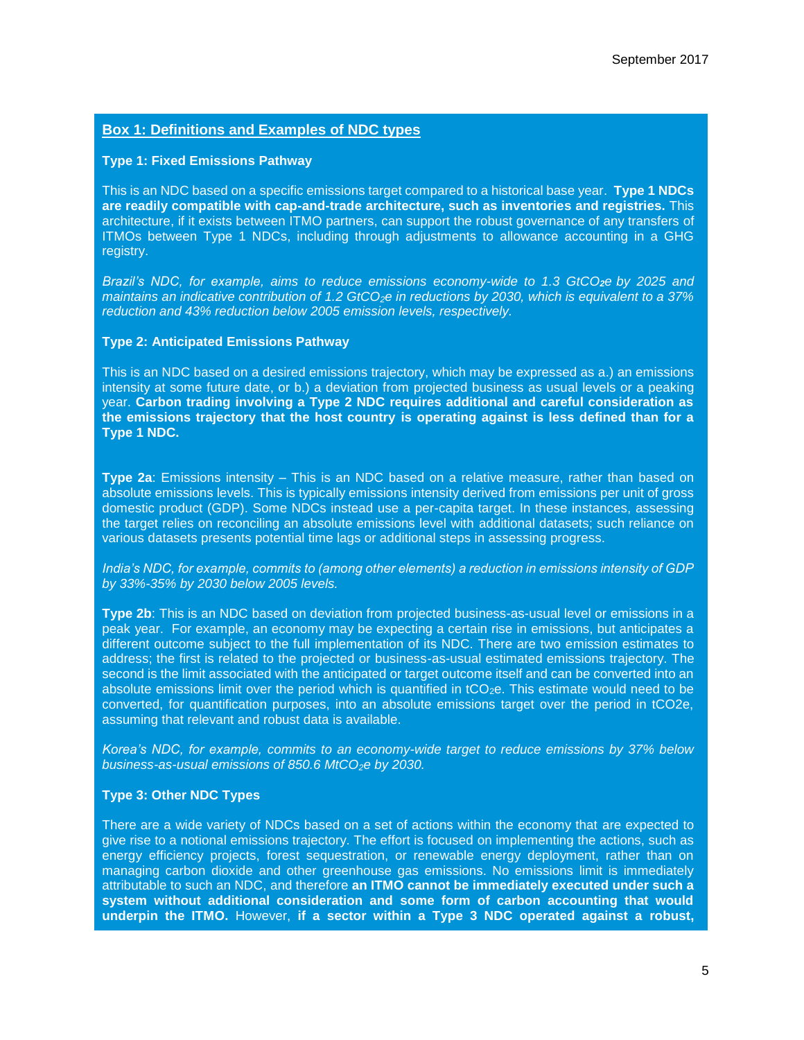# **Box 1: Definitions and Examples of NDC types**

#### **Type 1: Fixed Emissions Pathway**

This is an NDC based on a specific emissions target compared to a historical base year. **Type 1 NDCs are readily compatible with cap-and-trade architecture, such as inventories and registries.** This architecture, if it exists between ITMO partners, can support the robust governance of any transfers of ITMOs between Type 1 NDCs, including through adjustments to allowance accounting in a GHG registry.

*Brazil's NDC, for example, aims to reduce emissions economy-wide to 1.3 GtCO2e by 2025 and maintains an indicative contribution of 1.2 GtCO2e in reductions by 2030, which is equivalent to a 37% reduction and 43% reduction below 2005 emission levels, respectively.*

#### **Type 2: Anticipated Emissions Pathway**

This is an NDC based on a desired emissions trajectory, which may be expressed as a.) an emissions intensity at some future date, or b.) a deviation from projected business as usual levels or a peaking year. **Carbon trading involving a Type 2 NDC requires additional and careful consideration as the emissions trajectory that the host country is operating against is less defined than for a Type 1 NDC.**

**Type 2a**: Emissions intensity – This is an NDC based on a relative measure, rather than based on absolute emissions levels. This is typically emissions intensity derived from emissions per unit of gross domestic product (GDP). Some NDCs instead use a per-capita target. In these instances, assessing the target relies on reconciling an absolute emissions level with additional datasets; such reliance on various datasets presents potential time lags or additional steps in assessing progress.

*India's NDC, for example, commits to (among other elements) a reduction in emissions intensity of GDP by 33%-35% by 2030 below 2005 levels.* 

**Type 2b**: This is an NDC based on deviation from projected business-as-usual level or emissions in a peak year. For example, an economy may be expecting a certain rise in emissions, but anticipates a different outcome subject to the full implementation of its NDC. There are two emission estimates to address; the first is related to the projected or business-as-usual estimated emissions trajectory. The second is the limit associated with the anticipated or target outcome itself and can be converted into an absolute emissions limit over the period which is quantified in tCO<sub>2</sub>e. This estimate would need to be converted, for quantification purposes, into an absolute emissions target over the period in tCO2e, assuming that relevant and robust data is available.

*Korea's NDC, for example, commits to an economy-wide target to reduce emissions by 37% below business-as-usual emissions of 850.6 MtCO2e by 2030.*

#### **Type 3: Other NDC Types**

There are a wide variety of NDCs based on a set of actions within the economy that are expected to give rise to a notional emissions trajectory. The effort is focused on implementing the actions, such as energy efficiency projects, forest sequestration, or renewable energy deployment, rather than on managing carbon dioxide and other greenhouse gas emissions. No emissions limit is immediately attributable to such an NDC, and therefore **an ITMO cannot be immediately executed under such a system without additional consideration and some form of carbon accounting that would underpin the ITMO.** However, **if a sector within a Type 3 NDC operated against a robust,**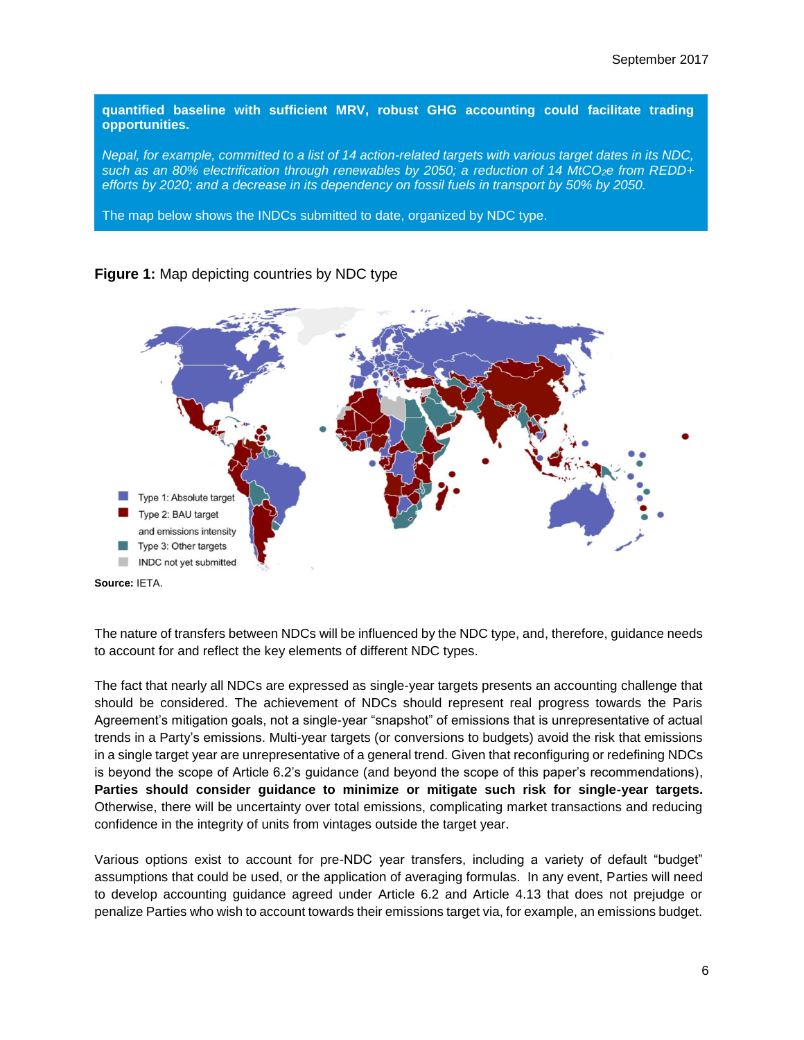**quantified baseline with sufficient MRV, robust GHG accounting could facilitate trading opportunities.**

*Nepal, for example, committed to a list of 14 action-related targets with various target dates in its NDC, such as an 80% electrification through renewables by 2050; a reduction of 14 MtCO2e from REDD+ efforts by 2020; and a decrease in its dependency on fossil fuels in transport by 50% by 2050.*

The map below shows the INDCs submitted to date, organized by NDC type.



## **Figure 1:** Map depicting countries by NDC type

**Source:** IETA.

The nature of transfers between NDCs will be influenced by the NDC type, and, therefore, guidance needs to account for and reflect the key elements of different NDC types.

The fact that nearly all NDCs are expressed as single-year targets presents an accounting challenge that should be considered. The achievement of NDCs should represent real progress towards the Paris Agreement's mitigation goals, not a single-year "snapshot" of emissions that is unrepresentative of actual trends in a Party's emissions. Multi-year targets (or conversions to budgets) avoid the risk that emissions in a single target year are unrepresentative of a general trend. Given that reconfiguring or redefining NDCs is beyond the scope of Article 6.2's guidance (and beyond the scope of this paper's recommendations), **Parties should consider guidance to minimize or mitigate such risk for single-year targets.** Otherwise, there will be uncertainty over total emissions, complicating market transactions and reducing confidence in the integrity of units from vintages outside the target year.

Various options exist to account for pre-NDC year transfers, including a variety of default "budget" assumptions that could be used, or the application of averaging formulas. In any event, Parties will need to develop accounting guidance agreed under Article 6.2 and Article 4.13 that does not prejudge or penalize Parties who wish to account towards their emissions target via, for example, an emissions budget.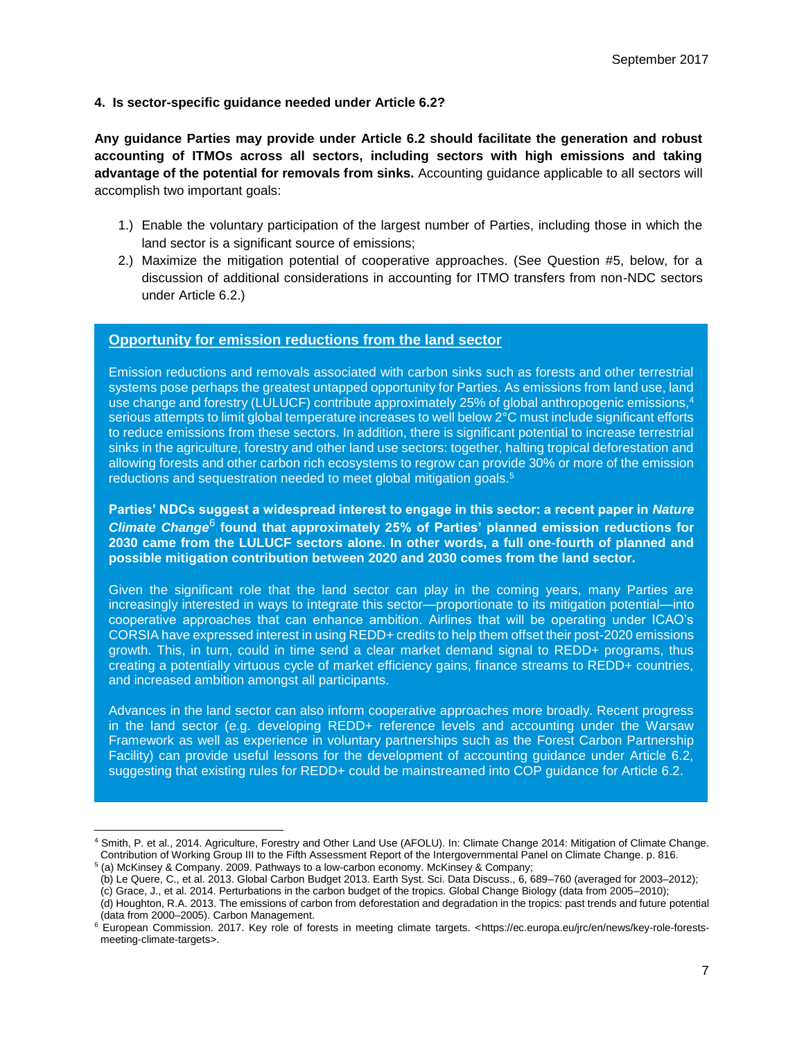### **4. Is sector-specific guidance needed under Article 6.2?**

**Any guidance Parties may provide under Article 6.2 should facilitate the generation and robust accounting of ITMOs across all sectors, including sectors with high emissions and taking advantage of the potential for removals from sinks.** Accounting guidance applicable to all sectors will accomplish two important goals:

- 1.) Enable the voluntary participation of the largest number of Parties, including those in which the land sector is a significant source of emissions;
- 2.) Maximize the mitigation potential of cooperative approaches. (See Question #5, below, for a discussion of additional considerations in accounting for ITMO transfers from non-NDC sectors under Article 6.2.)

### **Opportunity for emission reductions from the land sector**

Emission reductions and removals associated with carbon sinks such as forests and other terrestrial systems pose perhaps the greatest untapped opportunity for Parties. As emissions from land use, land use change and forestry (LULUCF) contribute approximately 25% of global anthropogenic emissions,<sup>4</sup> serious attempts to limit global temperature increases to well below 2°C must include significant efforts to reduce emissions from these sectors. In addition, there is significant potential to increase terrestrial sinks in the agriculture, forestry and other land use sectors: together, halting tropical deforestation and allowing forests and other carbon rich ecosystems to regrow can provide 30% or more of the emission reductions and sequestration needed to meet global mitigation goals.<sup>5</sup>

**Parties' NDCs suggest a widespread interest to engage in this sector: a recent paper in** *Nature*  **Climate Change<sup>6</sup> found that approximately 25% of Parties' planned emission reductions for 2030 came from the LULUCF sectors alone. In other words, a full one-fourth of planned and possible mitigation contribution between 2020 and 2030 comes from the land sector.**

Given the significant role that the land sector can play in the coming years, many Parties are increasingly interested in ways to integrate this sector—proportionate to its mitigation potential—into cooperative approaches that can enhance ambition. Airlines that will be operating under ICAO's CORSIA have expressed interest in using REDD+ credits to help them offset their post-2020 emissions growth. This, in turn, could in time send a clear market demand signal to REDD+ programs, thus creating a potentially virtuous cycle of market efficiency gains, finance streams to REDD+ countries, and increased ambition amongst all participants.

Advances in the land sector can also inform cooperative approaches more broadly. Recent progress in the land sector (e.g. developing REDD+ reference levels and accounting under the Warsaw Framework as well as experience in voluntary partnerships such as the Forest Carbon Partnership Facility) can provide useful lessons for the development of accounting guidance under Article 6.2, suggesting that existing rules for REDD+ could be mainstreamed into COP guidance for Article 6.2.

<sup>4</sup> Smith, P. et al., 2014. Agriculture, Forestry and Other Land Use (AFOLU). In: Climate Change 2014: Mitigation of Climate Change. Contribution of Working Group III to the Fifth Assessment Report of the Intergovernmental Panel on Climate Change. p. 816.

<sup>5</sup> (a) McKinsey & Company. 2009. Pathways to a low-carbon economy. McKinsey & Company;

<sup>(</sup>b) Le Quere, C., et al. 2013. Global Carbon Budget 2013. Earth Syst. Sci. Data Discuss., 6, 689–760 (averaged for 2003–2012);

<sup>(</sup>c) Grace, J., et al. 2014. Perturbations in the carbon budget of the tropics. Global Change Biology (data from 2005–2010);

<sup>(</sup>d) Houghton, R.A. 2013. The emissions of carbon from deforestation and degradation in the tropics: past trends and future potential (data from 2000–2005). Carbon Management.

<sup>&</sup>lt;sup>6</sup> European Commission. 2017. Key role of forests in meeting climate targets. [<https://ec.europa.eu/jrc/en/news/key-role-forests](https://ec.europa.eu/jrc/en/news/key-role-forests-meeting-climate-targets)[meeting-climate-targets>](https://ec.europa.eu/jrc/en/news/key-role-forests-meeting-climate-targets).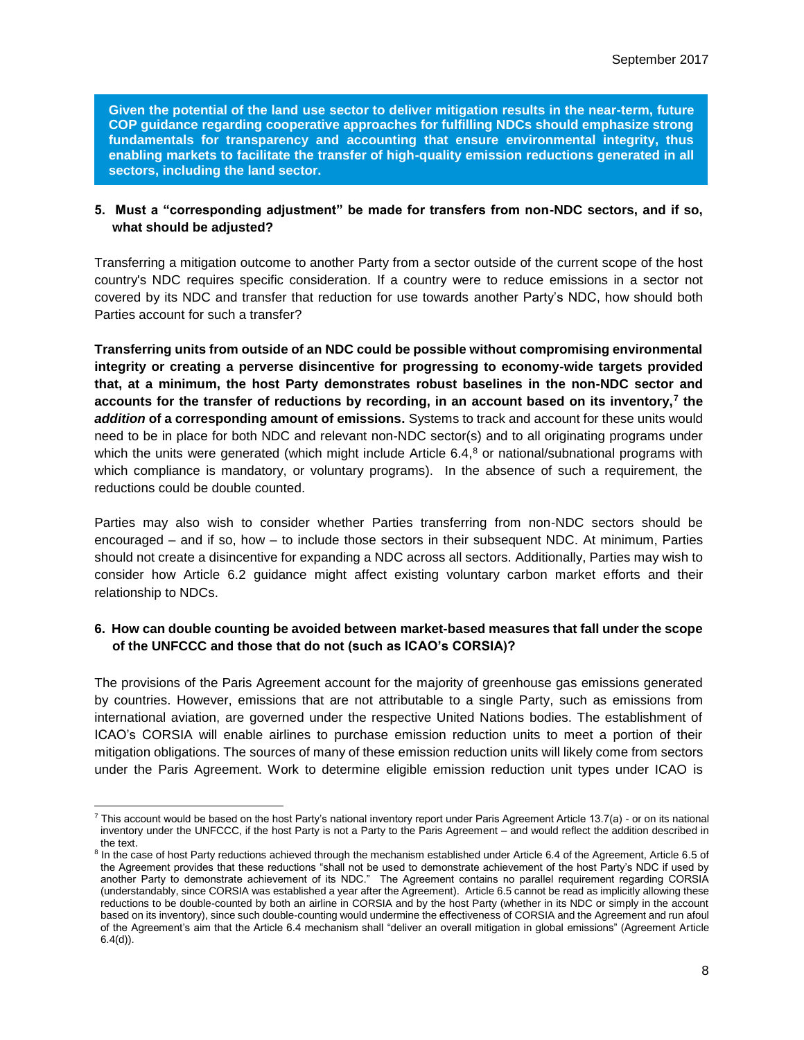**Given the potential of the land use sector to deliver mitigation results in the near-term, future COP guidance regarding cooperative approaches for fulfilling NDCs should emphasize strong fundamentals for transparency and accounting that ensure environmental integrity, thus enabling markets to facilitate the transfer of high-quality emission reductions generated in all sectors, including the land sector.**

### **5. Must a "corresponding adjustment" be made for transfers from non-NDC sectors, and if so, what should be adjusted?**

Transferring a mitigation outcome to another Party from a sector outside of the current scope of the host country's NDC requires specific consideration. If a country were to reduce emissions in a sector not covered by its NDC and transfer that reduction for use towards another Party's NDC, how should both Parties account for such a transfer?

**Transferring units from outside of an NDC could be possible without compromising environmental integrity or creating a perverse disincentive for progressing to economy-wide targets provided that, at a minimum, the host Party demonstrates robust baselines in the non-NDC sector and accounts for the transfer of reductions by recording, in an account based on its inventory,<sup>7</sup> the** *addition* **of a corresponding amount of emissions.** Systems to track and account for these units would need to be in place for both NDC and relevant non-NDC sector(s) and to all originating programs under which the units were generated (which might include Article 6.4,<sup>8</sup> or national/subnational programs with which compliance is mandatory, or voluntary programs). In the absence of such a requirement, the reductions could be double counted.

Parties may also wish to consider whether Parties transferring from non-NDC sectors should be encouraged – and if so, how – to include those sectors in their subsequent NDC. At minimum, Parties should not create a disincentive for expanding a NDC across all sectors. Additionally, Parties may wish to consider how Article 6.2 guidance might affect existing voluntary carbon market efforts and their relationship to NDCs.

### **6. How can double counting be avoided between market-based measures that fall under the scope of the UNFCCC and those that do not (such as ICAO's CORSIA)?**

The provisions of the Paris Agreement account for the majority of greenhouse gas emissions generated by countries. However, emissions that are not attributable to a single Party, such as emissions from international aviation, are governed under the respective United Nations bodies. The establishment of ICAO's CORSIA will enable airlines to purchase emission reduction units to meet a portion of their mitigation obligations. The sources of many of these emission reduction units will likely come from sectors under the Paris Agreement. Work to determine eligible emission reduction unit types under ICAO is

  $^7$  This account would be based on the host Party's national inventory report under Paris Agreement Article 13.7(a) - or on its national inventory under the UNFCCC, if the host Party is not a Party to the Paris Agreement – and would reflect the addition described in the text.

<sup>&</sup>lt;sup>8</sup> In the case of host Party reductions achieved through the mechanism established under Article 6.4 of the Agreement, Article 6.5 of the Agreement provides that these reductions "shall not be used to demonstrate achievement of the host Party's NDC if used by another Party to demonstrate achievement of its NDC." The Agreement contains no parallel requirement regarding CORSIA (understandably, since CORSIA was established a year after the Agreement). Article 6.5 cannot be read as implicitly allowing these reductions to be double-counted by both an airline in CORSIA and by the host Party (whether in its NDC or simply in the account based on its inventory), since such double-counting would undermine the effectiveness of CORSIA and the Agreement and run afoul of the Agreement's aim that the Article 6.4 mechanism shall "deliver an overall mitigation in global emissions" (Agreement Article  $6.4(d)$ ).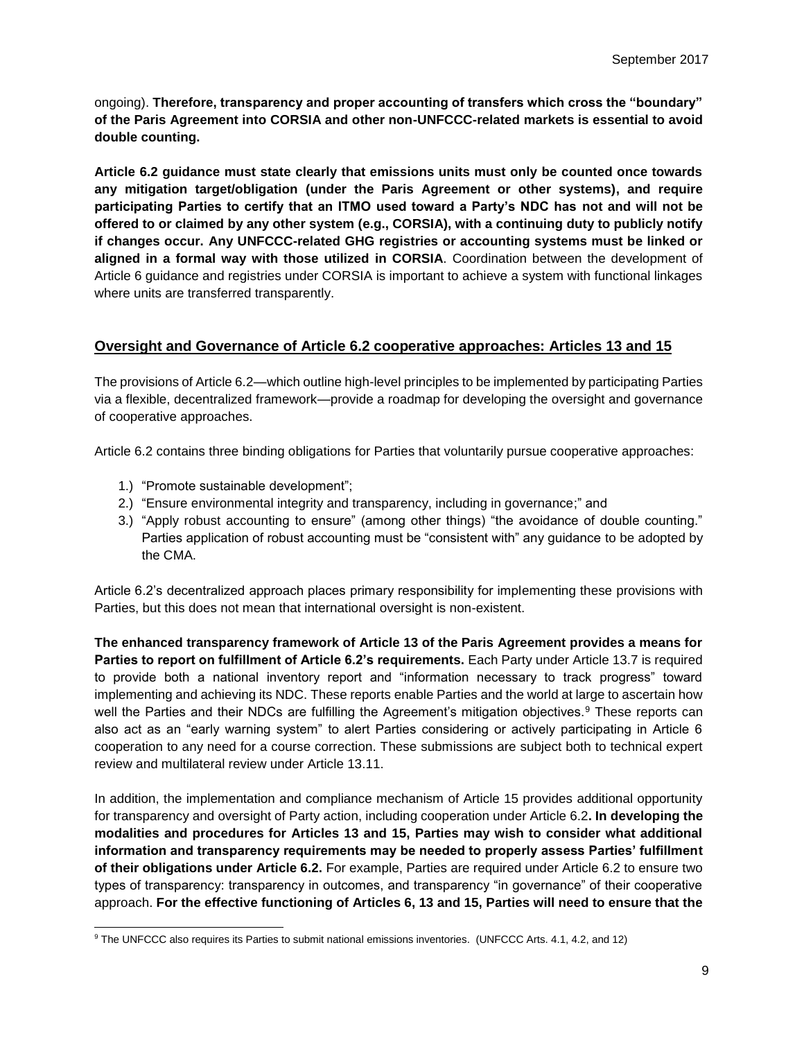ongoing). **Therefore, transparency and proper accounting of transfers which cross the "boundary" of the Paris Agreement into CORSIA and other non-UNFCCC-related markets is essential to avoid double counting.**

**Article 6.2 guidance must state clearly that emissions units must only be counted once towards any mitigation target/obligation (under the Paris Agreement or other systems), and require participating Parties to certify that an ITMO used toward a Party's NDC has not and will not be offered to or claimed by any other system (e.g., CORSIA), with a continuing duty to publicly notify if changes occur. Any UNFCCC-related GHG registries or accounting systems must be linked or aligned in a formal way with those utilized in CORSIA**. Coordination between the development of Article 6 guidance and registries under CORSIA is important to achieve a system with functional linkages where units are transferred transparently.

# **Oversight and Governance of Article 6.2 cooperative approaches: Articles 13 and 15**

The provisions of Article 6.2—which outline high-level principles to be implemented by participating Parties via a flexible, decentralized framework—provide a roadmap for developing the oversight and governance of cooperative approaches.

Article 6.2 contains three binding obligations for Parties that voluntarily pursue cooperative approaches:

1.) "Promote sustainable development";

 $\overline{a}$ 

- 2.) "Ensure environmental integrity and transparency, including in governance;" and
- 3.) "Apply robust accounting to ensure" (among other things) "the avoidance of double counting." Parties application of robust accounting must be "consistent with" any guidance to be adopted by the CMA.

Article 6.2's decentralized approach places primary responsibility for implementing these provisions with Parties, but this does not mean that international oversight is non-existent.

**The enhanced transparency framework of Article 13 of the Paris Agreement provides a means for Parties to report on fulfillment of Article 6.2's requirements.** Each Party under Article 13.7 is required to provide both a national inventory report and "information necessary to track progress" toward implementing and achieving its NDC. These reports enable Parties and the world at large to ascertain how well the Parties and their NDCs are fulfilling the Agreement's mitigation objectives.<sup>9</sup> These reports can also act as an "early warning system" to alert Parties considering or actively participating in Article 6 cooperation to any need for a course correction. These submissions are subject both to technical expert review and multilateral review under Article 13.11.

In addition, the implementation and compliance mechanism of Article 15 provides additional opportunity for transparency and oversight of Party action, including cooperation under Article 6.2**. In developing the modalities and procedures for Articles 13 and 15, Parties may wish to consider what additional information and transparency requirements may be needed to properly assess Parties' fulfillment of their obligations under Article 6.2.** For example, Parties are required under Article 6.2 to ensure two types of transparency: transparency in outcomes, and transparency "in governance" of their cooperative approach. **For the effective functioning of Articles 6, 13 and 15, Parties will need to ensure that the** 

<sup>9</sup> The UNFCCC also requires its Parties to submit national emissions inventories. (UNFCCC Arts. 4.1, 4.2, and 12)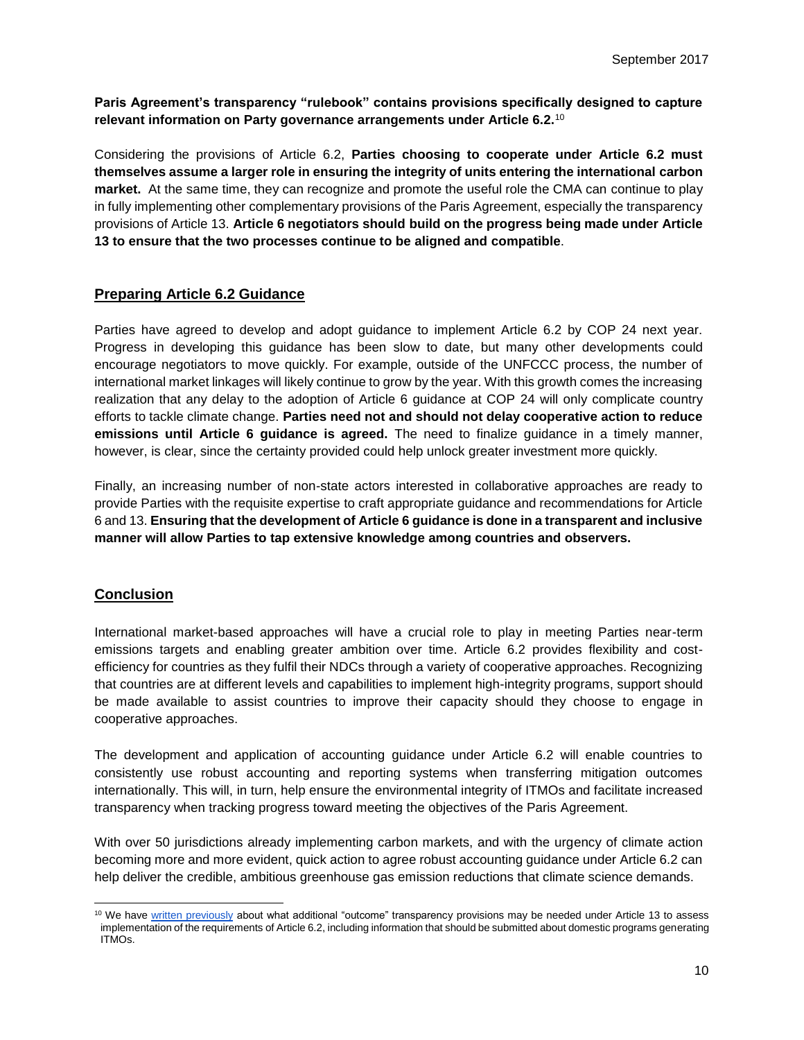**Paris Agreement's transparency "rulebook" contains provisions specifically designed to capture relevant information on Party governance arrangements under Article 6.2.**<sup>10</sup>

Considering the provisions of Article 6.2, **Parties choosing to cooperate under Article 6.2 must themselves assume a larger role in ensuring the integrity of units entering the international carbon market.** At the same time, they can recognize and promote the useful role the CMA can continue to play in fully implementing other complementary provisions of the Paris Agreement, especially the transparency provisions of Article 13. **Article 6 negotiators should build on the progress being made under Article 13 to ensure that the two processes continue to be aligned and compatible**.

## **Preparing Article 6.2 Guidance**

Parties have agreed to develop and adopt guidance to implement Article 6.2 by COP 24 next year. Progress in developing this guidance has been slow to date, but many other developments could encourage negotiators to move quickly. For example, outside of the UNFCCC process, the number of international market linkages will likely continue to grow by the year. With this growth comes the increasing realization that any delay to the adoption of Article 6 guidance at COP 24 will only complicate country efforts to tackle climate change. **Parties need not and should not delay cooperative action to reduce emissions until Article 6 guidance is agreed.** The need to finalize guidance in a timely manner, however, is clear, since the certainty provided could help unlock greater investment more quickly.

Finally, an increasing number of non-state actors interested in collaborative approaches are ready to provide Parties with the requisite expertise to craft appropriate guidance and recommendations for Article 6 and 13. **Ensuring that the development of Article 6 guidance is done in a transparent and inclusive manner will allow Parties to tap extensive knowledge among countries and observers.**

# **Conclusion**

International market-based approaches will have a crucial role to play in meeting Parties near-term emissions targets and enabling greater ambition over time. Article 6.2 provides flexibility and costefficiency for countries as they fulfil their NDCs through a variety of cooperative approaches. Recognizing that countries are at different levels and capabilities to implement high-integrity programs, support should be made available to assist countries to improve their capacity should they choose to engage in cooperative approaches.

The development and application of accounting guidance under Article 6.2 will enable countries to consistently use robust accounting and reporting systems when transferring mitigation outcomes internationally. This will, in turn, help ensure the environmental integrity of ITMOs and facilitate increased transparency when tracking progress toward meeting the objectives of the Paris Agreement.

With over 50 jurisdictions already implementing carbon markets, and with the urgency of climate action becoming more and more evident, quick action to agree robust accounting guidance under Article 6.2 can help deliver the credible, ambitious greenhouse gas emission reductions that climate science demands.

 $\overline{a}$ <sup>10</sup> We have [written previously](http://ieta.org/resources/International_WG/UNFCCC%20Submissions/Clifi%20Article%206%20Submission_Final.pdf) about what additional "outcome" transparency provisions may be needed under Article 13 to assess implementation of the requirements of Article 6.2, including information that should be submitted about domestic programs generating ITMOs.